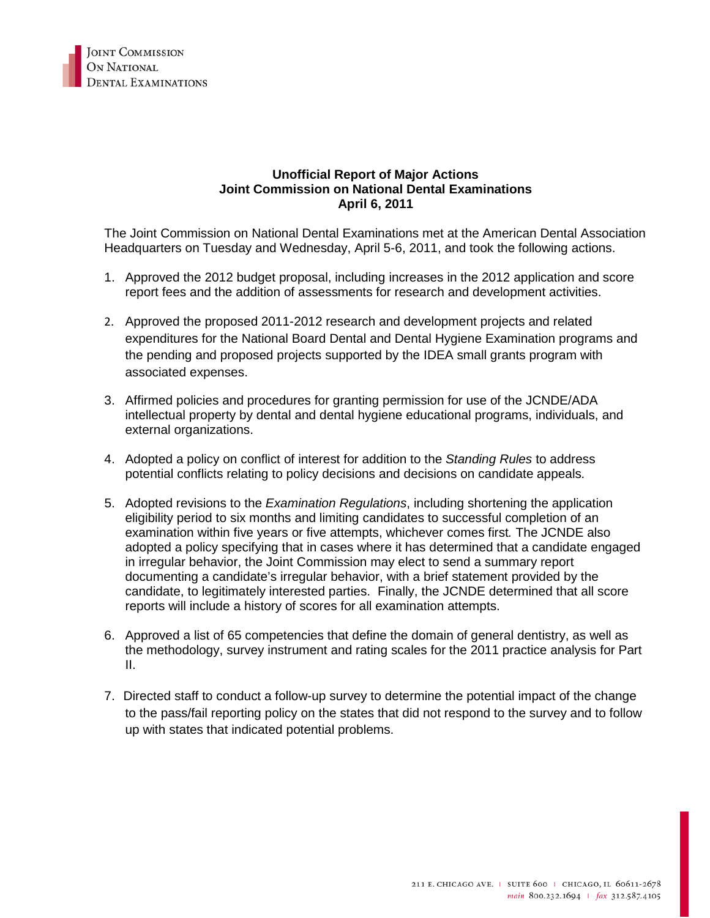

## **Unofficial Report of Major Actions Joint Commission on National Dental Examinations April 6, 2011**

The Joint Commission on National Dental Examinations met at the American Dental Association Headquarters on Tuesday and Wednesday, April 5-6, 2011, and took the following actions.

- 1. Approved the 2012 budget proposal, including increases in the 2012 application and score report fees and the addition of assessments for research and development activities.
- 2. Approved the proposed 2011-2012 research and development projects and related expenditures for the National Board Dental and Dental Hygiene Examination programs and the pending and proposed projects supported by the IDEA small grants program with associated expenses.
- 3. Affirmed policies and procedures for granting permission for use of the JCNDE/ADA intellectual property by dental and dental hygiene educational programs, individuals, and external organizations.
- 4. Adopted a policy on conflict of interest for addition to the *Standing Rules* to address potential conflicts relating to policy decisions and decisions on candidate appeals*.*
- 5. Adopted revisions to the *Examination Regulations*, including shortening the application eligibility period to six months and limiting candidates to successful completion of an examination within five years or five attempts, whichever comes first*.* The JCNDE also adopted a policy specifying that in cases where it has determined that a candidate engaged in irregular behavior, the Joint Commission may elect to send a summary report documenting a candidate's irregular behavior, with a brief statement provided by the candidate, to legitimately interested parties. Finally, the JCNDE determined that all score reports will include a history of scores for all examination attempts.
- 6. Approved a list of 65 competencies that define the domain of general dentistry, as well as the methodology, survey instrument and rating scales for the 2011 practice analysis for Part II.
- 7. Directed staff to conduct a follow-up survey to determine the potential impact of the change to the pass/fail reporting policy on the states that did not respond to the survey and to follow up with states that indicated potential problems.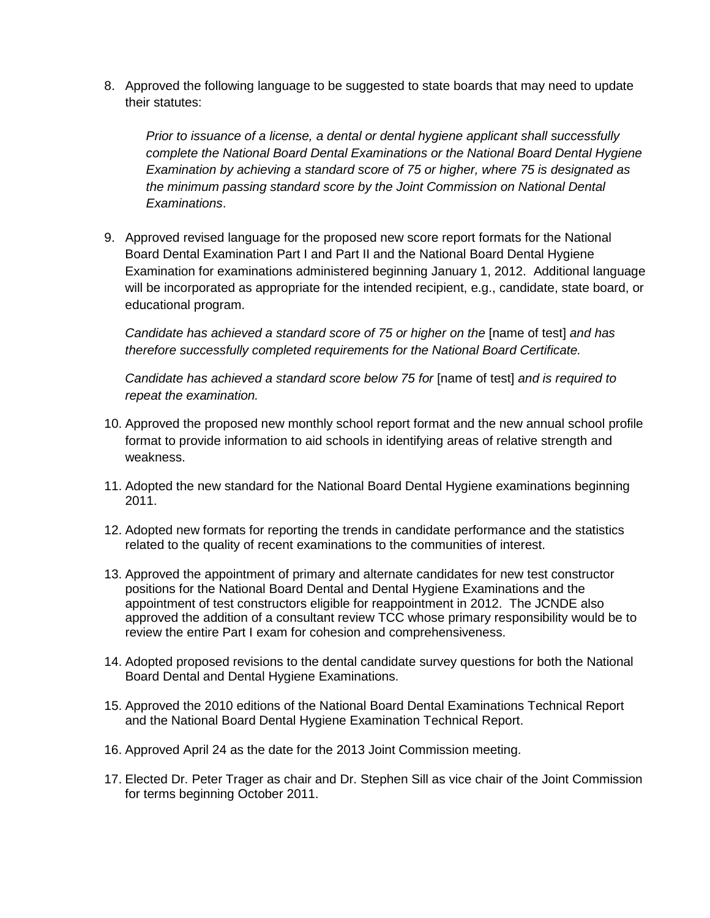8. Approved the following language to be suggested to state boards that may need to update their statutes:

*Prior to issuance of a license, a dental or dental hygiene applicant shall successfully complete the National Board Dental Examinations or the National Board Dental Hygiene Examination by achieving a standard score of 75 or higher, where 75 is designated as the minimum passing standard score by the Joint Commission on National Dental Examinations*.

9. Approved revised language for the proposed new score report formats for the National Board Dental Examination Part I and Part II and the National Board Dental Hygiene Examination for examinations administered beginning January 1, 2012. Additional language will be incorporated as appropriate for the intended recipient, e.g., candidate, state board, or educational program.

*Candidate has achieved a standard score of 75 or higher on the* [name of test] *and has therefore successfully completed requirements for the National Board Certificate.*

*Candidate has achieved a standard score below 75 for* [name of test] *and is required to repeat the examination.*

- 10. Approved the proposed new monthly school report format and the new annual school profile format to provide information to aid schools in identifying areas of relative strength and weakness.
- 11. Adopted the new standard for the National Board Dental Hygiene examinations beginning 2011.
- 12. Adopted new formats for reporting the trends in candidate performance and the statistics related to the quality of recent examinations to the communities of interest.
- 13. Approved the appointment of primary and alternate candidates for new test constructor positions for the National Board Dental and Dental Hygiene Examinations and the appointment of test constructors eligible for reappointment in 2012. The JCNDE also approved the addition of a consultant review TCC whose primary responsibility would be to review the entire Part I exam for cohesion and comprehensiveness.
- 14. Adopted proposed revisions to the dental candidate survey questions for both the National Board Dental and Dental Hygiene Examinations.
- 15. Approved the 2010 editions of the National Board Dental Examinations Technical Report and the National Board Dental Hygiene Examination Technical Report.
- 16. Approved April 24 as the date for the 2013 Joint Commission meeting.
- 17. Elected Dr. Peter Trager as chair and Dr. Stephen Sill as vice chair of the Joint Commission for terms beginning October 2011.